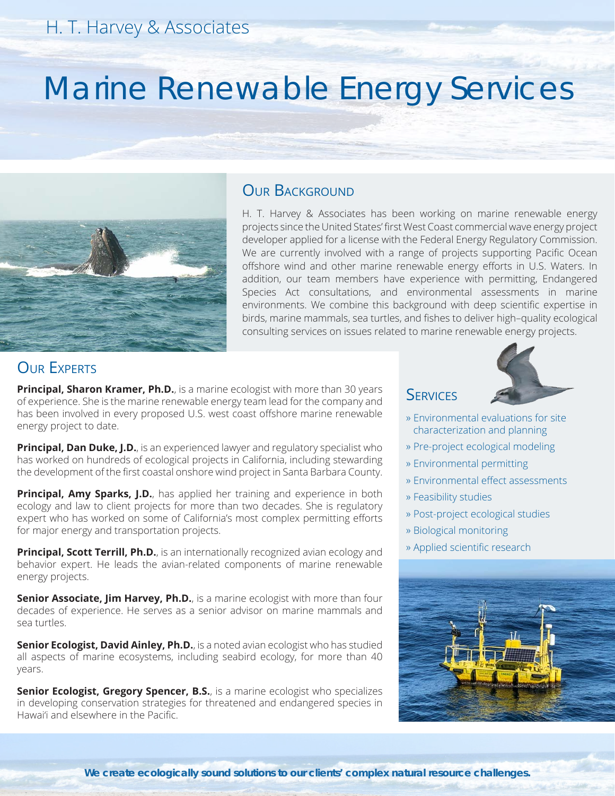# Marine Renewable Energy Services



#### OUR BACKGROUND

H. T. Harvey & Associates has been working on marine renewable energy projects since the United States' first West Coast commercial wave energy project developer applied for a license with the Federal Energy Regulatory Commission. We are currently involved with a range of projects supporting Pacific Ocean offshore wind and other marine renewable energy efforts in U.S. Waters. In addition, our team members have experience with permitting, Endangered Species Act consultations, and environmental assessments in marine environments. We combine this background with deep scientific expertise in birds, marine mammals, sea turtles, and fishes to deliver high–quality ecological consulting services on issues related to marine renewable energy projects.

## **OUR EXPERTS**

**Principal, Sharon Kramer, Ph.D.**, is a marine ecologist with more than 30 years of experience. She is the marine renewable energy team lead for the company and has been involved in every proposed U.S. west coast offshore marine renewable energy project to date.

**Principal, Dan Duke, J.D.**, is an experienced lawyer and regulatory specialist who has worked on hundreds of ecological projects in California, including stewarding the development of the first coastal onshore wind project in Santa Barbara County.

**Principal, Amy Sparks, J.D.**, has applied her training and experience in both ecology and law to client projects for more than two decades. She is regulatory expert who has worked on some of California's most complex permitting efforts for major energy and transportation projects.

**Principal, Scott Terrill, Ph.D.**, is an internationally recognized avian ecology and behavior expert. He leads the avian-related components of marine renewable energy projects.

**Senior Associate, Jim Harvey, Ph.D.**, is a marine ecologist with more than four decades of experience. He serves as a senior advisor on marine mammals and sea turtles.

**Senior Ecologist, David Ainley, Ph.D.**, is a noted avian ecologist who has studied all aspects of marine ecosystems, including seabird ecology, for more than 40 years.

**Senior Ecologist, Gregory Spencer, B.S.**, is a marine ecologist who specializes in developing conservation strategies for threatened and endangered species in Hawai'i and elsewhere in the Pacific.

## **SERVICES**



- » Environmental evaluations for site characterization and planning
- » Pre-project ecological modeling
- » Environmental permitting
- » Environmental effect assessments
- » Feasibility studies
- » Post-project ecological studies
- » Biological monitoring
- » Applied scientific research